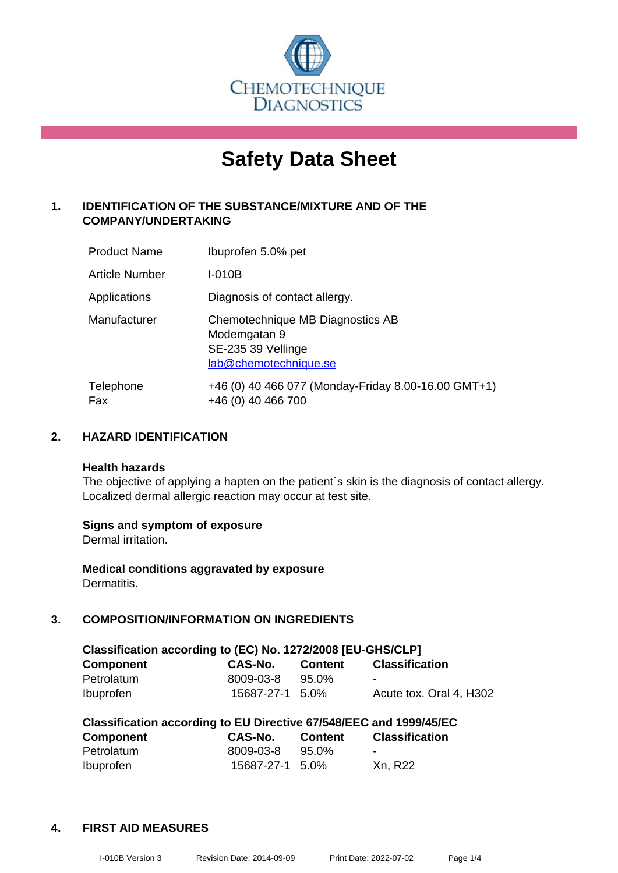

# **Safety Data Sheet**

## **1. IDENTIFICATION OF THE SUBSTANCE/MIXTURE AND OF THE COMPANY/UNDERTAKING**

| <b>Product Name</b> | Ibuprofen 5.0% pet                                                                              |
|---------------------|-------------------------------------------------------------------------------------------------|
| Article Number      | I-010B                                                                                          |
| Applications        | Diagnosis of contact allergy.                                                                   |
| Manufacturer        | Chemotechnique MB Diagnostics AB<br>Modemgatan 9<br>SE-235 39 Vellinge<br>lab@chemotechnique.se |
| Telephone<br>Fax    | +46 (0) 40 466 077 (Monday-Friday 8.00-16.00 GMT+1)<br>+46 (0) 40 466 700                       |

## **2. HAZARD IDENTIFICATION**

#### **Health hazards**

The objective of applying a hapten on the patient's skin is the diagnosis of contact allergy. Localized dermal allergic reaction may occur at test site.

## **Signs and symptom of exposure**

Dermal irritation.

**Medical conditions aggravated by exposure** Dermatitis.

## **3. COMPOSITION/INFORMATION ON INGREDIENTS**

| Classification according to (EC) No. 1272/2008 [EU-GHS/CLP] |                 |                |                         |  |
|-------------------------------------------------------------|-----------------|----------------|-------------------------|--|
| <b>Component</b>                                            | CAS-No.         | <b>Content</b> | <b>Classification</b>   |  |
| Petrolatum                                                  | 8009-03-8       | 95.0%          | -                       |  |
| <b>Ibuprofen</b>                                            | 15687-27-1 5.0% |                | Acute tox. Oral 4, H302 |  |

| Classification according to EU Directive 67/548/EEC and 1999/45/EC |                 |                |                       |  |
|--------------------------------------------------------------------|-----------------|----------------|-----------------------|--|
| Component                                                          | CAS-No.         | <b>Content</b> | <b>Classification</b> |  |
| Petrolatum                                                         | 8009-03-8       | 95.0%          | -                     |  |
| <b>Ibuprofen</b>                                                   | 15687-27-1 5.0% |                | Xn, R22               |  |

## **4. FIRST AID MEASURES**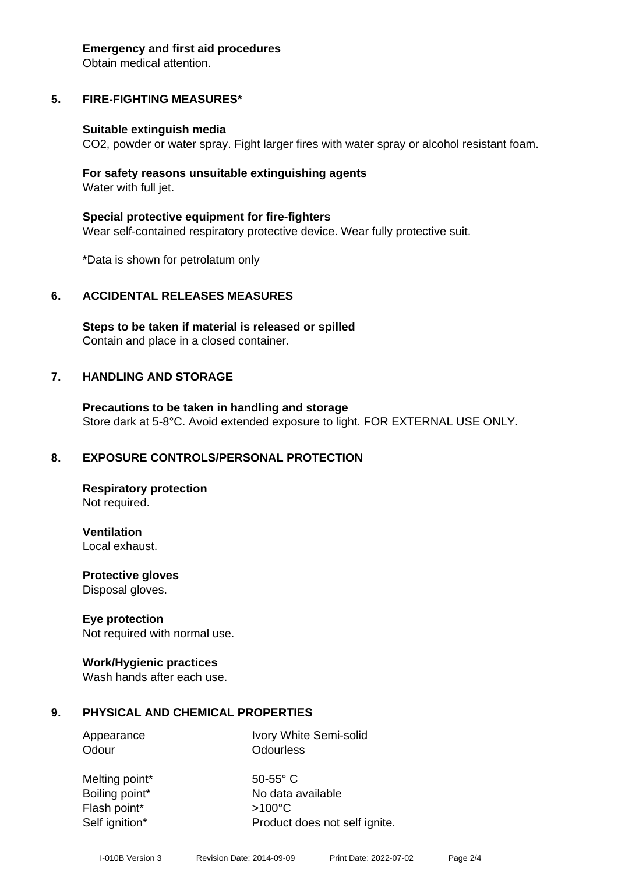#### **Emergency and first aid procedures**

Obtain medical attention.

## **5. FIRE-FIGHTING MEASURES\***

## **Suitable extinguish media**

CO2, powder or water spray. Fight larger fires with water spray or alcohol resistant foam.

## **For safety reasons unsuitable extinguishing agents** Water with full jet.

**Special protective equipment for fire-fighters** Wear self-contained respiratory protective device. Wear fully protective suit.

\*Data is shown for petrolatum only

## **6. ACCIDENTAL RELEASES MEASURES**

**Steps to be taken if material is released or spilled** Contain and place in a closed container.

## **7. HANDLING AND STORAGE**

**Precautions to be taken in handling and storage** Store dark at 5-8°C. Avoid extended exposure to light. FOR EXTERNAL USE ONLY.

# **8. EXPOSURE CONTROLS/PERSONAL PROTECTION**

**Respiratory protection** Not required.

**Ventilation** Local exhaust.

**Protective gloves**

Disposal gloves.

# **Eye protection**

Not required with normal use.

## **Work/Hygienic practices**

Wash hands after each use.

# **9. PHYSICAL AND CHEMICAL PROPERTIES**

Appearance Ivory White Semi-solid Odour **Odourless** 

Melting point\* 50-55° C Flash point\* >100°C

Boiling point\* No data available Self ignition\* Product does not self ignite.

I-010B Version 3 Revision Date: 2014-09-09 Print Date: 2022-07-02 Page 2/4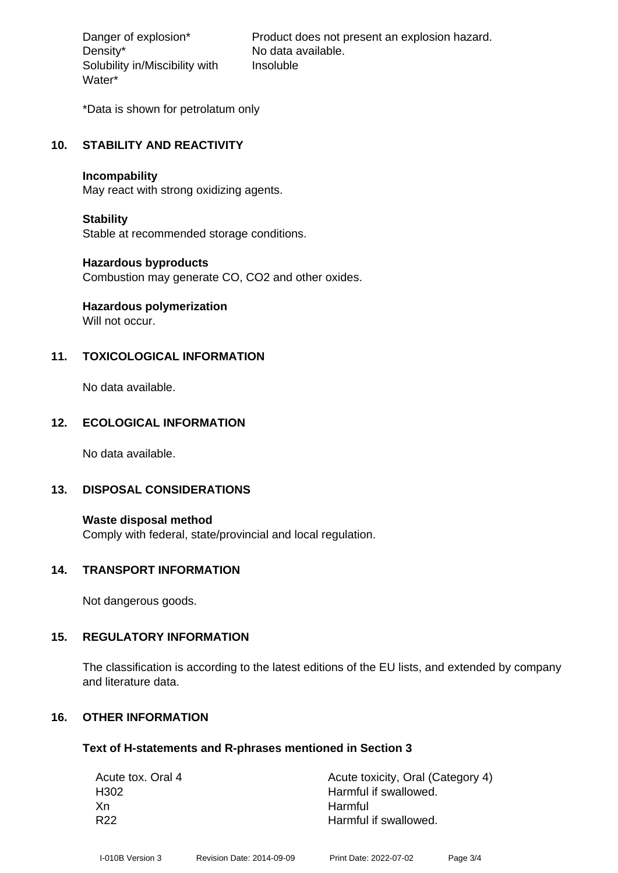Density\* No data available. Solubility in/Miscibility with Water\*

Danger of explosion\* Product does not present an explosion hazard. Insoluble

\*Data is shown for petrolatum only

## **10. STABILITY AND REACTIVITY**

#### **Incompability**

May react with strong oxidizing agents.

## **Stability**

Stable at recommended storage conditions.

## **Hazardous byproducts**

Combustion may generate CO, CO2 and other oxides.

# **Hazardous polymerization**

Will not occur.

## **11. TOXICOLOGICAL INFORMATION**

No data available.

## **12. ECOLOGICAL INFORMATION**

No data available.

## **13. DISPOSAL CONSIDERATIONS**

**Waste disposal method** Comply with federal, state/provincial and local regulation.

## **14. TRANSPORT INFORMATION**

Not dangerous goods.

## **15. REGULATORY INFORMATION**

The classification is according to the latest editions of the EU lists, and extended by company and literature data.

## **16. OTHER INFORMATION**

## **Text of H-statements and R-phrases mentioned in Section 3**

| Acute tox. Oral 4 | Acute toxicity, Oral (Category 4) |
|-------------------|-----------------------------------|
| H <sub>302</sub>  | Harmful if swallowed.             |
| Xn                | Harmful                           |
| R <sub>22</sub>   | Harmful if swallowed.             |
|                   |                                   |